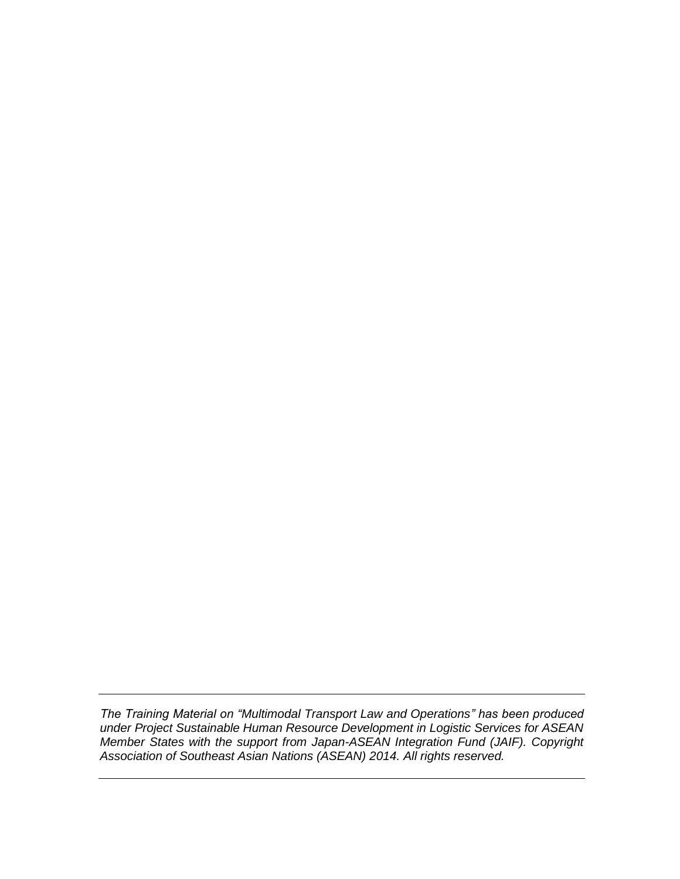*The Training Material on "Multimodal Transport Law and Operations" has been produced under Project Sustainable Human Resource Development in Logistic Services for ASEAN Member States with the support from Japan-ASEAN Integration Fund (JAIF). Copyright Association of Southeast Asian Nations (ASEAN) 2014. All rights reserved.*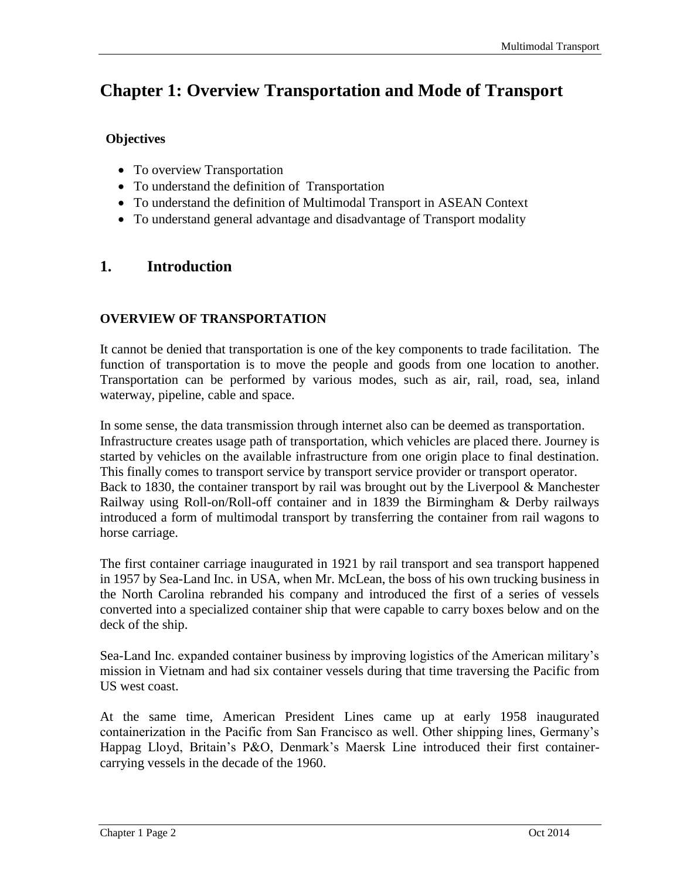# **Chapter 1: Overview Transportation and Mode of Transport**

## **Objectives**

- To overview Transportation
- To understand the definition of Transportation
- To understand the definition of Multimodal Transport in ASEAN Context
- To understand general advantage and disadvantage of Transport modality

# **1. Introduction**

#### **OVERVIEW OF TRANSPORTATION**

It cannot be denied that transportation is one of the key components to trade facilitation. The function of transportation is to move the people and goods from one location to another. Transportation can be performed by various modes, such as air, rail, road, sea, inland waterway, pipeline, cable and space.

In some sense, the data transmission through internet also can be deemed as transportation. Infrastructure creates usage path of transportation, which vehicles are placed there. Journey is started by vehicles on the available infrastructure from one origin place to final destination. This finally comes to transport service by transport service provider or transport operator. Back to 1830, the container transport by rail was brought out by the Liverpool & Manchester Railway using Roll-on/Roll-off container and in 1839 the Birmingham & Derby railways introduced a form of multimodal transport by transferring the container from rail wagons to horse carriage.

The first container carriage inaugurated in 1921 by rail transport and sea transport happened in 1957 by Sea-Land Inc. in USA, when Mr. McLean, the boss of his own trucking business in the North Carolina rebranded his company and introduced the first of a series of vessels converted into a specialized container ship that were capable to carry boxes below and on the deck of the ship.

Sea-Land Inc. expanded container business by improving logistics of the American military's mission in Vietnam and had six container vessels during that time traversing the Pacific from US west coast.

At the same time, American President Lines came up at early 1958 inaugurated containerization in the Pacific from San Francisco as well. Other shipping lines, Germany's Happag Lloyd, Britain's P&O, Denmark's Maersk Line introduced their first containercarrying vessels in the decade of the 1960.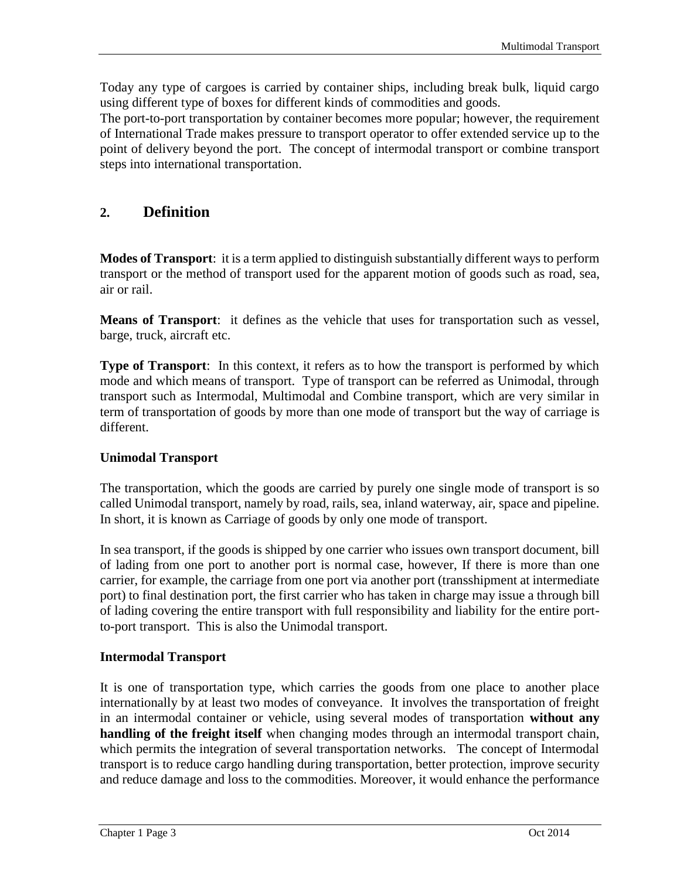Today any type of cargoes is carried by container ships, including break bulk, liquid cargo using different type of boxes for different kinds of commodities and goods.

The port-to-port transportation by container becomes more popular; however, the requirement of International Trade makes pressure to transport operator to offer extended service up to the point of delivery beyond the port. The concept of intermodal transport or combine transport steps into international transportation.

# **2. Definition**

**Modes of Transport**: it is a term applied to distinguish substantially different ways to perform transport or the method of transport used for the apparent motion of goods such as road, sea, air or rail.

**Means of Transport**: it defines as the vehicle that uses for transportation such as vessel, barge, truck, aircraft etc.

**Type of Transport**: In this context, it refers as to how the transport is performed by which mode and which means of transport. Type of transport can be referred as Unimodal, through transport such as Intermodal, Multimodal and Combine transport, which are very similar in term of transportation of goods by more than one mode of transport but the way of carriage is different.

#### **Unimodal Transport**

The transportation, which the goods are carried by purely one single mode of transport is so called Unimodal transport, namely by road, rails, sea, inland waterway, air, space and pipeline. In short, it is known as Carriage of goods by only one mode of transport.

In sea transport, if the goods is shipped by one carrier who issues own transport document, bill of lading from one port to another port is normal case, however, If there is more than one carrier, for example, the carriage from one port via another port (transshipment at intermediate port) to final destination port, the first carrier who has taken in charge may issue a through bill of lading covering the entire transport with full responsibility and liability for the entire portto-port transport. This is also the Unimodal transport.

#### **Intermodal Transport**

It is one of transportation type, which carries the goods from one place to another place internationally by at least two modes of conveyance. It involves the transportation of freight in an intermodal container or vehicle, using several modes of transportation **without any handling of the freight itself** when changing modes through an intermodal transport chain, which permits the integration of several transportation networks. The concept of Intermodal transport is to reduce cargo handling during transportation, better protection, improve security and reduce damage and loss to the commodities. Moreover, it would enhance the performance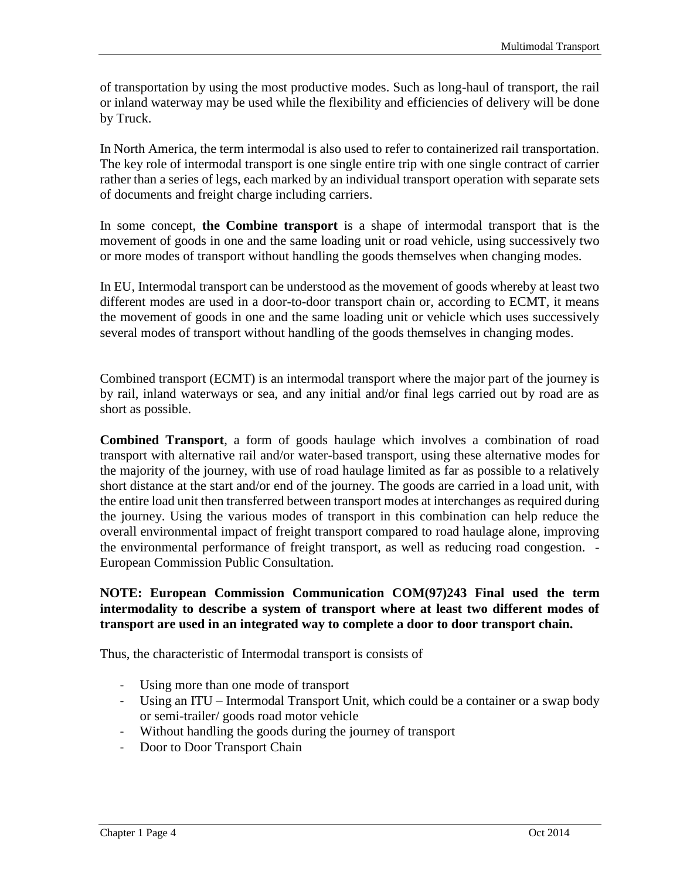of transportation by using the most productive modes. Such as long-haul of transport, the rail or inland waterway may be used while the flexibility and efficiencies of delivery will be done by Truck.

In North America, the term intermodal is also used to refer to containerized rail transportation. The key role of intermodal transport is one single entire trip with one single contract of carrier rather than a series of legs, each marked by an individual transport operation with separate sets of documents and freight charge including carriers.

In some concept, **the Combine transport** is a shape of intermodal transport that is the movement of goods in one and the same loading unit or road vehicle, using successively two or more modes of transport without handling the goods themselves when changing modes.

In EU, Intermodal transport can be understood as the movement of goods whereby at least two different modes are used in a door-to-door transport chain or, according to ECMT, it means the movement of goods in one and the same loading unit or vehicle which uses successively several modes of transport without handling of the goods themselves in changing modes.

Combined transport (ECMT) is an intermodal transport where the major part of the journey is by rail, inland waterways or sea, and any initial and/or final legs carried out by road are as short as possible.

**Combined Transport**, a form of goods haulage which involves a combination of road transport with alternative rail and/or water-based transport, using these alternative modes for the majority of the journey, with use of road haulage limited as far as possible to a relatively short distance at the start and/or end of the journey. The goods are carried in a load unit, with the entire load unit then transferred between transport modes at interchanges as required during the journey. Using the various modes of transport in this combination can help reduce the overall environmental impact of freight transport compared to road haulage alone, improving the environmental performance of freight transport, as well as reducing road congestion. - European Commission Public Consultation.

#### **NOTE: European Commission Communication COM(97)243 Final used the term intermodality to describe a system of transport where at least two different modes of transport are used in an integrated way to complete a door to door transport chain.**

Thus, the characteristic of Intermodal transport is consists of

- Using more than one mode of transport
- Using an ITU Intermodal Transport Unit, which could be a container or a swap body or semi-trailer/ goods road motor vehicle
- Without handling the goods during the journey of transport
- Door to Door Transport Chain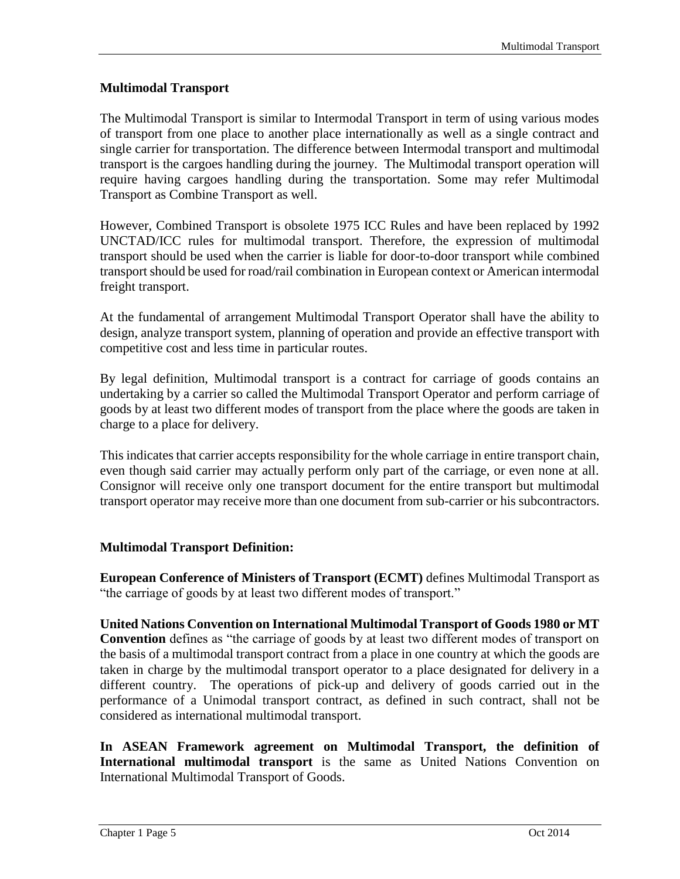## **Multimodal Transport**

The Multimodal Transport is similar to Intermodal Transport in term of using various modes of transport from one place to another place internationally as well as a single contract and single carrier for transportation. The difference between Intermodal transport and multimodal transport is the cargoes handling during the journey. The Multimodal transport operation will require having cargoes handling during the transportation. Some may refer Multimodal Transport as Combine Transport as well.

However, Combined Transport is obsolete 1975 ICC Rules and have been replaced by 1992 UNCTAD/ICC rules for multimodal transport. Therefore, the expression of multimodal transport should be used when the carrier is liable for door-to-door transport while combined transport should be used for road/rail combination in European context or American intermodal freight transport.

At the fundamental of arrangement Multimodal Transport Operator shall have the ability to design, analyze transport system, planning of operation and provide an effective transport with competitive cost and less time in particular routes.

By legal definition, Multimodal transport is a contract for carriage of goods contains an undertaking by a carrier so called the Multimodal Transport Operator and perform carriage of goods by at least two different modes of transport from the place where the goods are taken in charge to a place for delivery.

This indicates that carrier accepts responsibility for the whole carriage in entire transport chain, even though said carrier may actually perform only part of the carriage, or even none at all. Consignor will receive only one transport document for the entire transport but multimodal transport operator may receive more than one document from sub-carrier or his subcontractors.

#### **Multimodal Transport Definition:**

**European Conference of Ministers of Transport (ECMT)** defines Multimodal Transport as "the carriage of goods by at least two different modes of transport."

**United Nations Convention on International Multimodal Transport of Goods 1980 or MT Convention** defines as "the carriage of goods by at least two different modes of transport on the basis of a multimodal transport contract from a place in one country at which the goods are taken in charge by the multimodal transport operator to a place designated for delivery in a different country. The operations of pick-up and delivery of goods carried out in the performance of a Unimodal transport contract, as defined in such contract, shall not be considered as international multimodal transport.

**In ASEAN Framework agreement on Multimodal Transport, the definition of International multimodal transport** is the same as United Nations Convention on International Multimodal Transport of Goods.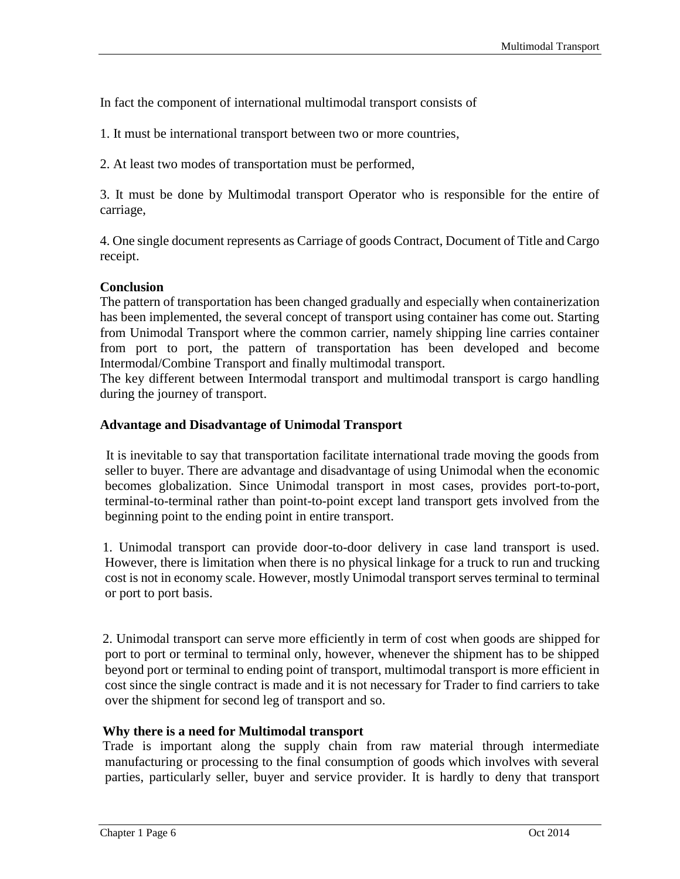In fact the component of international multimodal transport consists of

1. It must be international transport between two or more countries,

2. At least two modes of transportation must be performed,

3. It must be done by Multimodal transport Operator who is responsible for the entire of carriage,

4. One single document represents as Carriage of goods Contract, Document of Title and Cargo receipt.

#### **Conclusion**

The pattern of transportation has been changed gradually and especially when containerization has been implemented, the several concept of transport using container has come out. Starting from Unimodal Transport where the common carrier, namely shipping line carries container from port to port, the pattern of transportation has been developed and become Intermodal/Combine Transport and finally multimodal transport.

The key different between Intermodal transport and multimodal transport is cargo handling during the journey of transport.

#### **Advantage and Disadvantage of Unimodal Transport**

 It is inevitable to say that transportation facilitate international trade moving the goods from seller to buyer. There are advantage and disadvantage of using Unimodal when the economic becomes globalization. Since Unimodal transport in most cases, provides port-to-port, terminal-to-terminal rather than point-to-point except land transport gets involved from the beginning point to the ending point in entire transport.

 1. Unimodal transport can provide door-to-door delivery in case land transport is used. However, there is limitation when there is no physical linkage for a truck to run and trucking cost is not in economy scale. However, mostly Unimodal transport serves terminal to terminal or port to port basis.

 2. Unimodal transport can serve more efficiently in term of cost when goods are shipped for port to port or terminal to terminal only, however, whenever the shipment has to be shipped beyond port or terminal to ending point of transport, multimodal transport is more efficient in cost since the single contract is made and it is not necessary for Trader to find carriers to take over the shipment for second leg of transport and so.

#### **Why there is a need for Multimodal transport**

 Trade is important along the supply chain from raw material through intermediate manufacturing or processing to the final consumption of goods which involves with several parties, particularly seller, buyer and service provider. It is hardly to deny that transport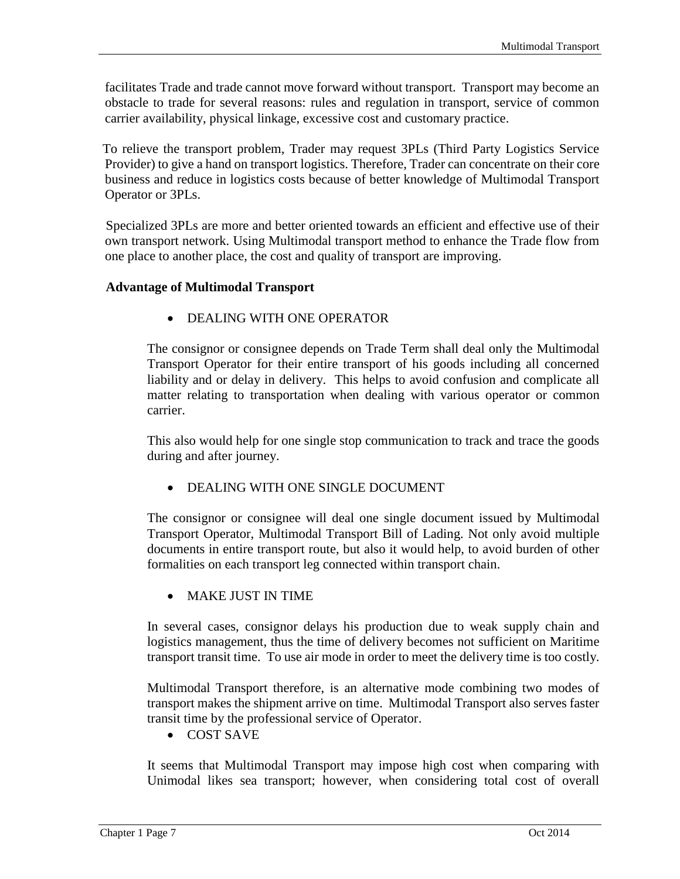facilitates Trade and trade cannot move forward without transport. Transport may become an obstacle to trade for several reasons: rules and regulation in transport, service of common carrier availability, physical linkage, excessive cost and customary practice.

 To relieve the transport problem, Trader may request 3PLs (Third Party Logistics Service Provider) to give a hand on transport logistics. Therefore, Trader can concentrate on their core business and reduce in logistics costs because of better knowledge of Multimodal Transport Operator or 3PLs.

 Specialized 3PLs are more and better oriented towards an efficient and effective use of their own transport network. Using Multimodal transport method to enhance the Trade flow from one place to another place, the cost and quality of transport are improving.

#### **Advantage of Multimodal Transport**

• DEALING WITH ONE OPERATOR

The consignor or consignee depends on Trade Term shall deal only the Multimodal Transport Operator for their entire transport of his goods including all concerned liability and or delay in delivery. This helps to avoid confusion and complicate all matter relating to transportation when dealing with various operator or common carrier.

This also would help for one single stop communication to track and trace the goods during and after journey.

DEALING WITH ONE SINGLE DOCUMENT

The consignor or consignee will deal one single document issued by Multimodal Transport Operator, Multimodal Transport Bill of Lading. Not only avoid multiple documents in entire transport route, but also it would help, to avoid burden of other formalities on each transport leg connected within transport chain.

MAKE JUST IN TIME

In several cases, consignor delays his production due to weak supply chain and logistics management, thus the time of delivery becomes not sufficient on Maritime transport transit time. To use air mode in order to meet the delivery time is too costly.

Multimodal Transport therefore, is an alternative mode combining two modes of transport makes the shipment arrive on time. Multimodal Transport also serves faster transit time by the professional service of Operator.

COST SAVE

It seems that Multimodal Transport may impose high cost when comparing with Unimodal likes sea transport; however, when considering total cost of overall